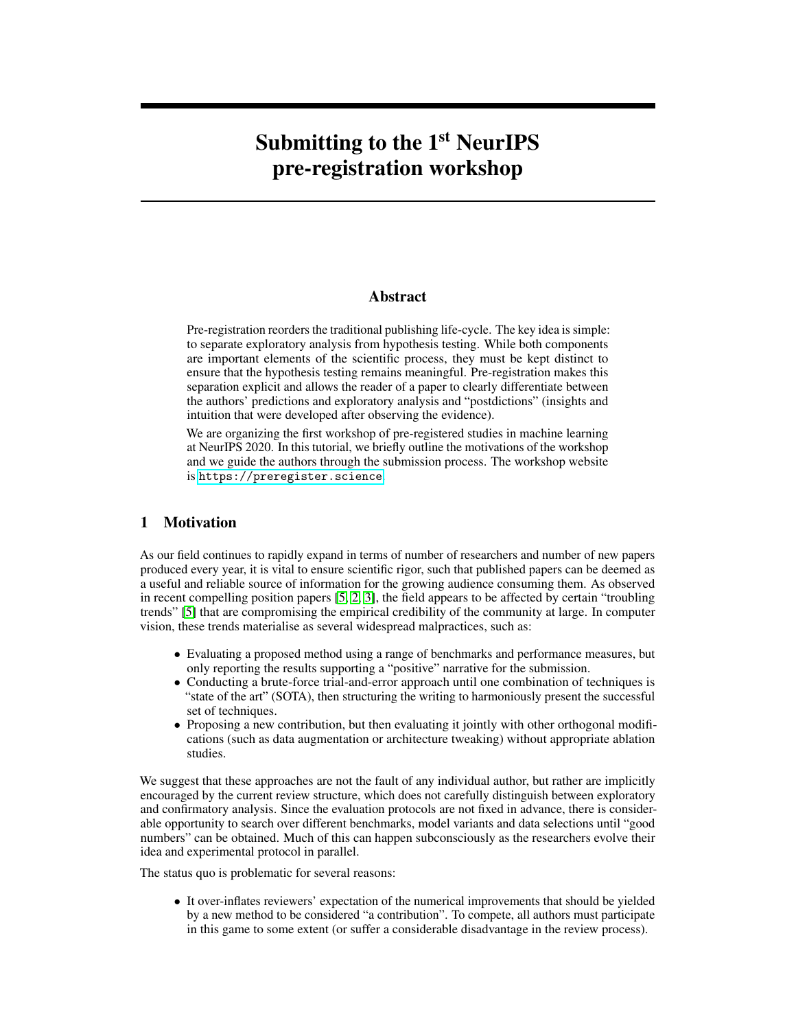# Submitting to the 1<sup>st</sup> NeurIPS pre-registration workshop

#### Abstract

Pre-registration reorders the traditional publishing life-cycle. The key idea is simple: to separate exploratory analysis from hypothesis testing. While both components are important elements of the scientific process, they must be kept distinct to ensure that the hypothesis testing remains meaningful. Pre-registration makes this separation explicit and allows the reader of a paper to clearly differentiate between the authors' predictions and exploratory analysis and "postdictions" (insights and intuition that were developed after observing the evidence).

We are organizing the first workshop of pre-registered studies in machine learning at NeurIPS 2020. In this tutorial, we briefly outline the motivations of the workshop and we guide the authors through the submission process. The workshop website is <https://preregister.science>.

# <span id="page-0-0"></span>1 Motivation

As our field continues to rapidly expand in terms of number of researchers and number of new papers produced every year, it is vital to ensure scientific rigor, such that published papers can be deemed as a useful and reliable source of information for the growing audience consuming them. As observed in recent compelling position papers [\[5,](#page-3-0) [2,](#page-2-0) [3\]](#page-2-1), the field appears to be affected by certain "troubling trends" [\[5\]](#page-3-0) that are compromising the empirical credibility of the community at large. In computer vision, these trends materialise as several widespread malpractices, such as:

- Evaluating a proposed method using a range of benchmarks and performance measures, but only reporting the results supporting a "positive" narrative for the submission.
- Conducting a brute-force trial-and-error approach until one combination of techniques is "state of the art" (SOTA), then structuring the writing to harmoniously present the successful set of techniques.
- Proposing a new contribution, but then evaluating it jointly with other orthogonal modifications (such as data augmentation or architecture tweaking) without appropriate ablation studies.

We suggest that these approaches are not the fault of any individual author, but rather are implicitly encouraged by the current review structure, which does not carefully distinguish between exploratory and confirmatory analysis. Since the evaluation protocols are not fixed in advance, there is considerable opportunity to search over different benchmarks, model variants and data selections until "good numbers" can be obtained. Much of this can happen subconsciously as the researchers evolve their idea and experimental protocol in parallel.

The status quo is problematic for several reasons:

• It over-inflates reviewers' expectation of the numerical improvements that should be yielded by a new method to be considered "a contribution". To compete, all authors must participate in this game to some extent (or suffer a considerable disadvantage in the review process).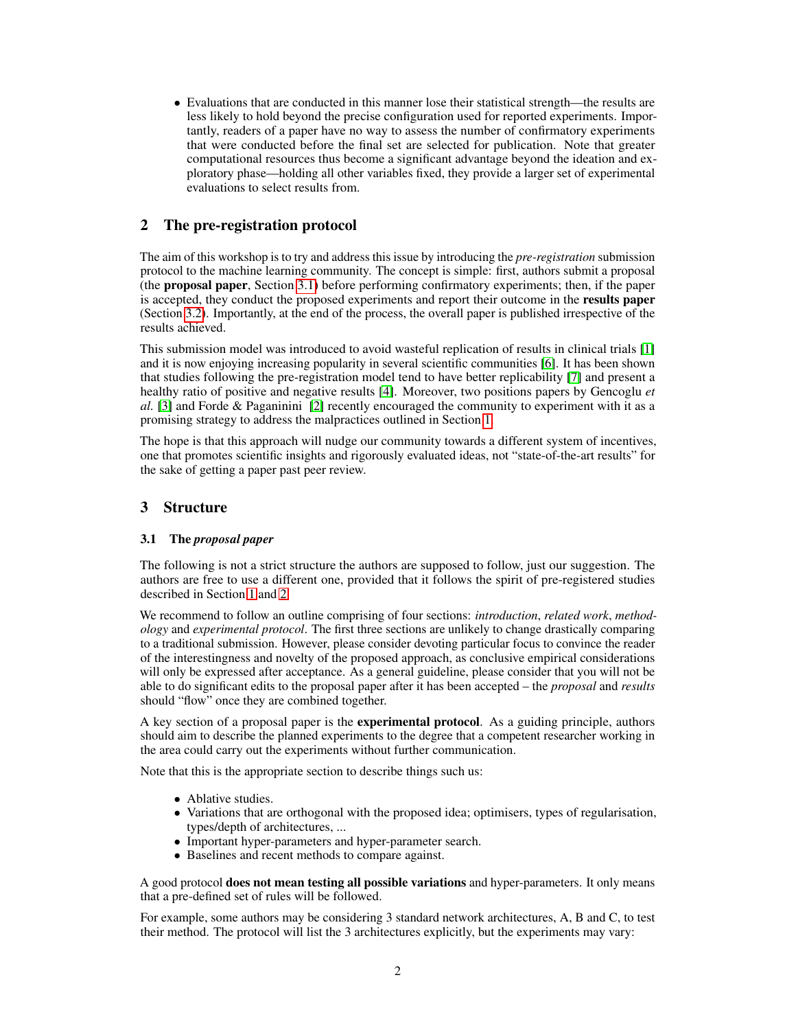• Evaluations that are conducted in this manner lose their statistical strength—the results are less likely to hold beyond the precise configuration used for reported experiments. Importantly, readers of a paper have no way to assess the number of confirmatory experiments that were conducted before the final set are selected for publication. Note that greater computational resources thus become a significant advantage beyond the ideation and exploratory phase—holding all other variables fixed, they provide a larger set of experimental evaluations to select results from.

# <span id="page-1-1"></span>2 The pre-registration protocol

The aim of this workshop is to try and address this issue by introducing the *pre-registration* submission protocol to the machine learning community. The concept is simple: first, authors submit a proposal (the proposal paper, Section [3.1\)](#page-1-0) before performing confirmatory experiments; then, if the paper is accepted, they conduct the proposed experiments and report their outcome in the results paper (Section [3.2\)](#page-2-2). Importantly, at the end of the process, the overall paper is published irrespective of the results achieved.

This submission model was introduced to avoid wasteful replication of results in clinical trials [\[1\]](#page-2-3) and it is now enjoying increasing popularity in several scientific communities [\[6\]](#page-3-1). It has been shown that studies following the pre-registration model tend to have better replicability [\[7\]](#page-3-2) and present a healthy ratio of positive and negative results [\[4\]](#page-2-4). Moreover, two positions papers by Gencoglu *et al.* [\[3\]](#page-2-1) and Forde & Paganinini [\[2\]](#page-2-0) recently encouraged the community to experiment with it as a promising strategy to address the malpractices outlined in Section [1.](#page-0-0)

The hope is that this approach will nudge our community towards a different system of incentives, one that promotes scientific insights and rigorously evaluated ideas, not "state-of-the-art results" for the sake of getting a paper past peer review.

# 3 Structure

#### <span id="page-1-0"></span>3.1 The *proposal paper*

The following is not a strict structure the authors are supposed to follow, just our suggestion. The authors are free to use a different one, provided that it follows the spirit of pre-registered studies described in Section [1](#page-0-0) and [2.](#page-1-1)

We recommend to follow an outline comprising of four sections: *introduction*, *related work*, *methodology* and *experimental protocol*. The first three sections are unlikely to change drastically comparing to a traditional submission. However, please consider devoting particular focus to convince the reader of the interestingness and novelty of the proposed approach, as conclusive empirical considerations will only be expressed after acceptance. As a general guideline, please consider that you will not be able to do significant edits to the proposal paper after it has been accepted – the *proposal* and *results* should "flow" once they are combined together.

A key section of a proposal paper is the experimental protocol. As a guiding principle, authors should aim to describe the planned experiments to the degree that a competent researcher working in the area could carry out the experiments without further communication.

Note that this is the appropriate section to describe things such us:

- Ablative studies.
- Variations that are orthogonal with the proposed idea; optimisers, types of regularisation, types/depth of architectures, ...
- Important hyper-parameters and hyper-parameter search.
- Baselines and recent methods to compare against.

A good protocol does not mean testing all possible variations and hyper-parameters. It only means that a pre-defined set of rules will be followed.

For example, some authors may be considering 3 standard network architectures, A, B and C, to test their method. The protocol will list the 3 architectures explicitly, but the experiments may vary: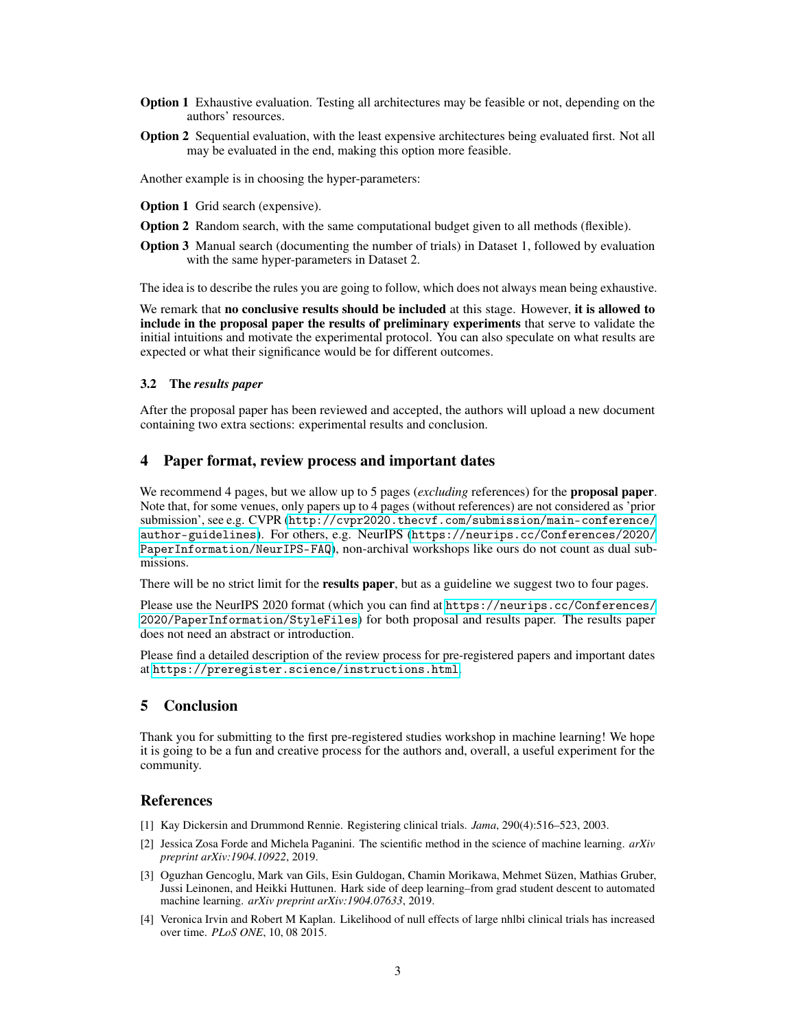- Option 1 Exhaustive evaluation. Testing all architectures may be feasible or not, depending on the authors' resources.
- Option 2 Sequential evaluation, with the least expensive architectures being evaluated first. Not all may be evaluated in the end, making this option more feasible.

Another example is in choosing the hyper-parameters:

Option 1 Grid search (expensive).

- Option 2 Random search, with the same computational budget given to all methods (flexible).
- Option 3 Manual search (documenting the number of trials) in Dataset 1, followed by evaluation with the same hyper-parameters in Dataset 2.

The idea is to describe the rules you are going to follow, which does not always mean being exhaustive.

We remark that no conclusive results should be included at this stage. However, it is allowed to include in the proposal paper the results of preliminary experiments that serve to validate the initial intuitions and motivate the experimental protocol. You can also speculate on what results are expected or what their significance would be for different outcomes.

#### <span id="page-2-2"></span>3.2 The *results paper*

After the proposal paper has been reviewed and accepted, the authors will upload a new document containing two extra sections: experimental results and conclusion.

# 4 Paper format, review process and important dates

We recommend 4 pages, but we allow up to 5 pages (*excluding* references) for the proposal paper. Note that, for some venues, only papers up to 4 pages (without references) are not considered as 'prior submission', see e.g. CVPR ([http://cvpr2020.thecvf.com/submission/main-conference/](http://cvpr2020.thecvf.com/submission/main-conference/author-guidelines) [author-guidelines](http://cvpr2020.thecvf.com/submission/main-conference/author-guidelines)). For others, e.g. NeurIPS ([https://neurips.cc/Conferences/2020/](https://neurips.cc/Conferences/2020/PaperInformation/NeurIPS-FAQ) [PaperInformation/NeurIPS-FAQ](https://neurips.cc/Conferences/2020/PaperInformation/NeurIPS-FAQ)), non-archival workshops like ours do not count as dual submissions.

There will be no strict limit for the **results paper**, but as a guideline we suggest two to four pages.

Please use the NeurIPS 2020 format (which you can find at [https://neurips.cc/Conferences/](https://neurips.cc/Conferences/2020/PaperInformation/StyleFiles) [2020/PaperInformation/StyleFiles](https://neurips.cc/Conferences/2020/PaperInformation/StyleFiles)) for both proposal and results paper. The results paper does not need an abstract or introduction.

Please find a detailed description of the review process for pre-registered papers and important dates at <https://preregister.science/instructions.html>.

### 5 Conclusion

Thank you for submitting to the first pre-registered studies workshop in machine learning! We hope it is going to be a fun and creative process for the authors and, overall, a useful experiment for the community.

### **References**

- <span id="page-2-3"></span>[1] Kay Dickersin and Drummond Rennie. Registering clinical trials. *Jama*, 290(4):516–523, 2003.
- <span id="page-2-0"></span>[2] Jessica Zosa Forde and Michela Paganini. The scientific method in the science of machine learning. *arXiv preprint arXiv:1904.10922*, 2019.
- <span id="page-2-1"></span>[3] Oguzhan Gencoglu, Mark van Gils, Esin Guldogan, Chamin Morikawa, Mehmet Süzen, Mathias Gruber, Jussi Leinonen, and Heikki Huttunen. Hark side of deep learning–from grad student descent to automated machine learning. *arXiv preprint arXiv:1904.07633*, 2019.
- <span id="page-2-4"></span>[4] Veronica Irvin and Robert M Kaplan. Likelihood of null effects of large nhlbi clinical trials has increased over time. *PLoS ONE*, 10, 08 2015.